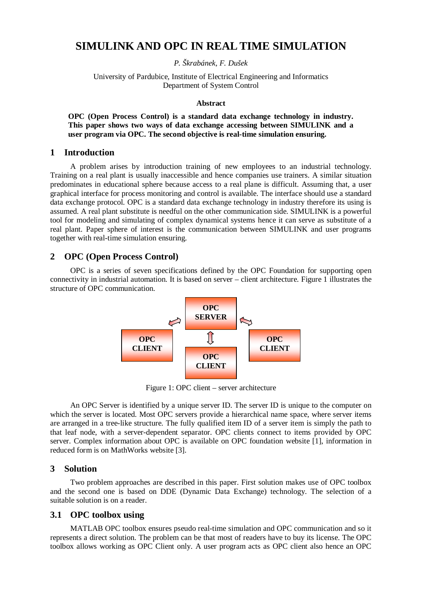# **SIMULINK AND OPC IN REAL TIME SIMULATION**

*P. Škrabánek, F. Dušek* 

University of Pardubice, Institute of Electrical Engineering and Informatics Department of System Control

#### **Abstract**

**OPC (Open Process Control) is a standard data exchange technology in industry. This paper shows two ways of data exchange accessing between SIMULINK and a user program via OPC. The second objective is real-time simulation ensuring.** 

### **1 Introduction**

A problem arises by introduction training of new employees to an industrial technology. Training on a real plant is usually inaccessible and hence companies use trainers. A similar situation predominates in educational sphere because access to a real plane is difficult. Assuming that, a user graphical interface for process monitoring and control is available. The interface should use a standard data exchange protocol. OPC is a standard data exchange technology in industry therefore its using is assumed. A real plant substitute is needful on the other communication side. SIMULINK is a powerful tool for modeling and simulating of complex dynamical systems hence it can serve as substitute of a real plant. Paper sphere of interest is the communication between SIMULINK and user programs together with real-time simulation ensuring.

# **2 OPC (Open Process Control)**

OPC is a series of seven specifications defined by the OPC Foundation for supporting open connectivity in industrial automation. It is based on server – client architecture. Figure 1 illustrates the structure of OPC communication.



Figure 1: OPC client – server architecture

An OPC Server is identified by a unique server ID. The server ID is unique to the computer on which the server is located. Most OPC servers provide a hierarchical name space, where server items are arranged in a tree-like structure. The fully qualified item ID of a server item is simply the path to that leaf node, with a server-dependent separator. OPC clients connect to items provided by OPC server. Complex information about OPC is available on OPC foundation website [1], information in reduced form is on MathWorks website [3].

# **3 Solution**

Two problem approaches are described in this paper. First solution makes use of OPC toolbox and the second one is based on DDE (Dynamic Data Exchange) technology. The selection of a suitable solution is on a reader.

# **3.1 OPC toolbox using**

MATLAB OPC toolbox ensures pseudo real-time simulation and OPC communication and so it represents a direct solution. The problem can be that most of readers have to buy its license. The OPC toolbox allows working as OPC Client only. A user program acts as OPC client also hence an OPC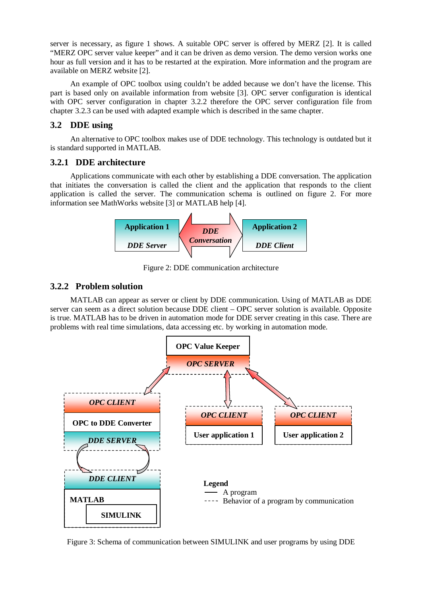server is necessary, as figure 1 shows. A suitable OPC server is offered by MERZ [2]. It is called "MERZ OPC server value keeper" and it can be driven as demo version. The demo version works one hour as full version and it has to be restarted at the expiration. More information and the program are available on MERZ website [2].

An example of OPC toolbox using couldn't be added because we don't have the license. This part is based only on available information from website [3]. OPC server configuration is identical with OPC server configuration in chapter 3.2.2 therefore the OPC server configuration file from chapter 3.2.3 can be used with adapted example which is described in the same chapter.

# **3.2 DDE using**

An alternative to OPC toolbox makes use of DDE technology. This technology is outdated but it is standard supported in MATLAB.

# **3.2.1 DDE architecture**

Applications communicate with each other by establishing a DDE conversation. The application that initiates the conversation is called the client and the application that responds to the client application is called the server. The communication schema is outlined on figure 2. For more information see MathWorks website [3] or MATLAB help [4].



Figure 2: DDE communication architecture

# **3.2.2 Problem solution**

MATLAB can appear as server or client by DDE communication. Using of MATLAB as DDE server can seem as a direct solution because DDE client – OPC server solution is available. Opposite is true. MATLAB has to be driven in automation mode for DDE server creating in this case. There are problems with real time simulations, data accessing etc. by working in automation mode.



Figure 3: Schema of communication between SIMULINK and user programs by using DDE